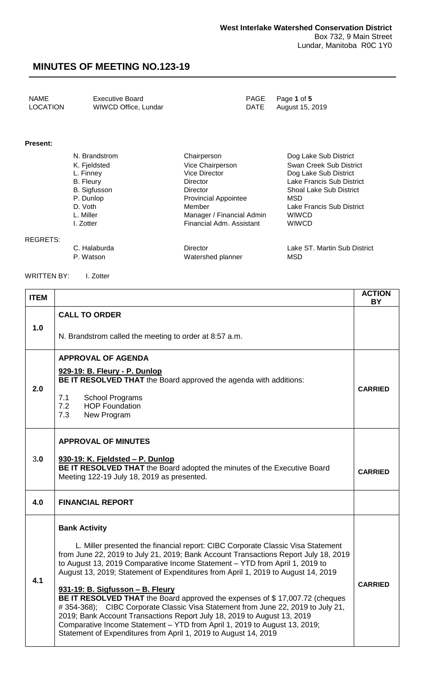| NAME     | <b>Executive Board</b> | PAGE Page 1 of 5     |
|----------|------------------------|----------------------|
| LOCATION | WIWCD Office, Lundar   | DATE August 15, 2019 |

#### **Present:**

| N. Brandstrom       | Chairperson                 | Dog Lake Sub District          |
|---------------------|-----------------------------|--------------------------------|
| K. Fjeldsted        | Vice Chairperson            | Swan Creek Sub District        |
| L. Finney           | <b>Vice Director</b>        | Dog Lake Sub District          |
| <b>B.</b> Fleury    | <b>Director</b>             | Lake Francis Sub District      |
| <b>B.</b> Sigfusson | Director                    | <b>Shoal Lake Sub District</b> |
| P. Dunlop           | <b>Provincial Appointee</b> | MSD                            |
| D. Voth             | Member                      | Lake Francis Sub District      |
| L. Miller           | Manager / Financial Admin   | <b>WIWCD</b>                   |
| I. Zotter           | Financial Adm. Assistant    | <b>WIWCD</b>                   |
|                     |                             |                                |

#### REGRETS:

C. Halaburda Director Lake ST. Martin Sub District Watershed planner

WRITTEN BY: I. Zotter

| <b>ITEM</b> |                                                                                                                                                                                                                                                                                                                                                                                                                                                                                                                                                                                                                                                                                                                                                                                                    | <b>ACTION</b><br><b>BY</b> |
|-------------|----------------------------------------------------------------------------------------------------------------------------------------------------------------------------------------------------------------------------------------------------------------------------------------------------------------------------------------------------------------------------------------------------------------------------------------------------------------------------------------------------------------------------------------------------------------------------------------------------------------------------------------------------------------------------------------------------------------------------------------------------------------------------------------------------|----------------------------|
| 1.0         | <b>CALL TO ORDER</b><br>N. Brandstrom called the meeting to order at 8:57 a.m.                                                                                                                                                                                                                                                                                                                                                                                                                                                                                                                                                                                                                                                                                                                     |                            |
| 2.0         | <b>APPROVAL OF AGENDA</b><br>929-19: B. Fleury - P. Dunlop<br>BE IT RESOLVED THAT the Board approved the agenda with additions:<br>7.1<br><b>School Programs</b><br>7.2<br><b>HOP Foundation</b><br>7.3<br>New Program                                                                                                                                                                                                                                                                                                                                                                                                                                                                                                                                                                             | <b>CARRIED</b>             |
| 3.0         | <b>APPROVAL OF MINUTES</b><br>930-19: K. Fjeldsted – P. Dunlop<br>BE IT RESOLVED THAT the Board adopted the minutes of the Executive Board<br>Meeting 122-19 July 18, 2019 as presented.                                                                                                                                                                                                                                                                                                                                                                                                                                                                                                                                                                                                           |                            |
| 4.0         | <b>FINANCIAL REPORT</b>                                                                                                                                                                                                                                                                                                                                                                                                                                                                                                                                                                                                                                                                                                                                                                            |                            |
| 4.1         | <b>Bank Activity</b><br>L. Miller presented the financial report: CIBC Corporate Classic Visa Statement<br>from June 22, 2019 to July 21, 2019; Bank Account Transactions Report July 18, 2019<br>to August 13, 2019 Comparative Income Statement - YTD from April 1, 2019 to<br>August 13, 2019; Statement of Expenditures from April 1, 2019 to August 14, 2019<br>931-19: B. Sigfusson - B. Fleury<br>BE IT RESOLVED THAT the Board approved the expenses of \$17,007.72 (cheques<br>#354-368); CIBC Corporate Classic Visa Statement from June 22, 2019 to July 21,<br>2019; Bank Account Transactions Report July 18, 2019 to August 13, 2019<br>Comparative Income Statement - YTD from April 1, 2019 to August 13, 2019;<br>Statement of Expenditures from April 1, 2019 to August 14, 2019 | <b>CARRIED</b>             |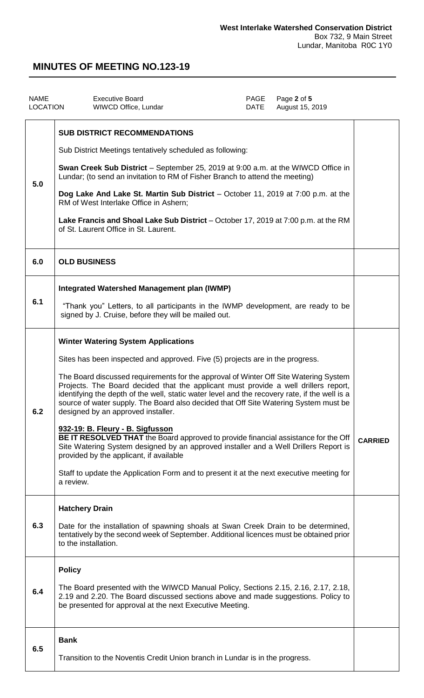| <b>NAME</b><br><b>LOCATION</b> | <b>Executive Board</b><br>WIWCD Office, Lundar                                                                                                                                                                                                                                                                                                                                                                                                                                                                                                                                                                                                                                                                                                                                                                                                                                                                  | PAGE<br><b>DATE</b> | Page 2 of 5<br>August 15, 2019 |                |
|--------------------------------|-----------------------------------------------------------------------------------------------------------------------------------------------------------------------------------------------------------------------------------------------------------------------------------------------------------------------------------------------------------------------------------------------------------------------------------------------------------------------------------------------------------------------------------------------------------------------------------------------------------------------------------------------------------------------------------------------------------------------------------------------------------------------------------------------------------------------------------------------------------------------------------------------------------------|---------------------|--------------------------------|----------------|
| 5.0                            | <b>SUB DISTRICT RECOMMENDATIONS</b><br>Sub District Meetings tentatively scheduled as following:<br>Swan Creek Sub District - September 25, 2019 at 9:00 a.m. at the WIWCD Office in<br>Lundar; (to send an invitation to RM of Fisher Branch to attend the meeting)<br>Dog Lake And Lake St. Martin Sub District - October 11, 2019 at 7:00 p.m. at the<br>RM of West Interlake Office in Ashern;<br>Lake Francis and Shoal Lake Sub District – October 17, 2019 at 7:00 p.m. at the RM<br>of St. Laurent Office in St. Laurent.                                                                                                                                                                                                                                                                                                                                                                               |                     |                                |                |
| 6.0                            | <b>OLD BUSINESS</b>                                                                                                                                                                                                                                                                                                                                                                                                                                                                                                                                                                                                                                                                                                                                                                                                                                                                                             |                     |                                |                |
| 6.1                            | <b>Integrated Watershed Management plan (IWMP)</b><br>"Thank you" Letters, to all participants in the IWMP development, are ready to be<br>signed by J. Cruise, before they will be mailed out.                                                                                                                                                                                                                                                                                                                                                                                                                                                                                                                                                                                                                                                                                                                 |                     |                                |                |
| 6.2                            | <b>Winter Watering System Applications</b><br>Sites has been inspected and approved. Five (5) projects are in the progress.<br>The Board discussed requirements for the approval of Winter Off Site Watering System<br>Projects. The Board decided that the applicant must provide a well drillers report,<br>identifying the depth of the well, static water level and the recovery rate, if the well is a<br>source of water supply. The Board also decided that Off Site Watering System must be<br>designed by an approved installer.<br>932-19: B. Fleury - B. Sigfusson<br>BE IT RESOLVED THAT the Board approved to provide financial assistance for the Off<br>Site Watering System designed by an approved installer and a Well Drillers Report is<br>provided by the applicant, if available<br>Staff to update the Application Form and to present it at the next executive meeting for<br>a review. |                     |                                | <b>CARRIED</b> |
| 6.3                            | <b>Hatchery Drain</b><br>Date for the installation of spawning shoals at Swan Creek Drain to be determined,<br>tentatively by the second week of September. Additional licences must be obtained prior<br>to the installation.                                                                                                                                                                                                                                                                                                                                                                                                                                                                                                                                                                                                                                                                                  |                     |                                |                |
| 6.4                            | <b>Policy</b><br>The Board presented with the WIWCD Manual Policy, Sections 2.15, 2.16, 2.17, 2.18,<br>2.19 and 2.20. The Board discussed sections above and made suggestions. Policy to<br>be presented for approval at the next Executive Meeting.                                                                                                                                                                                                                                                                                                                                                                                                                                                                                                                                                                                                                                                            |                     |                                |                |
| 6.5                            | <b>Bank</b><br>Transition to the Noventis Credit Union branch in Lundar is in the progress.                                                                                                                                                                                                                                                                                                                                                                                                                                                                                                                                                                                                                                                                                                                                                                                                                     |                     |                                |                |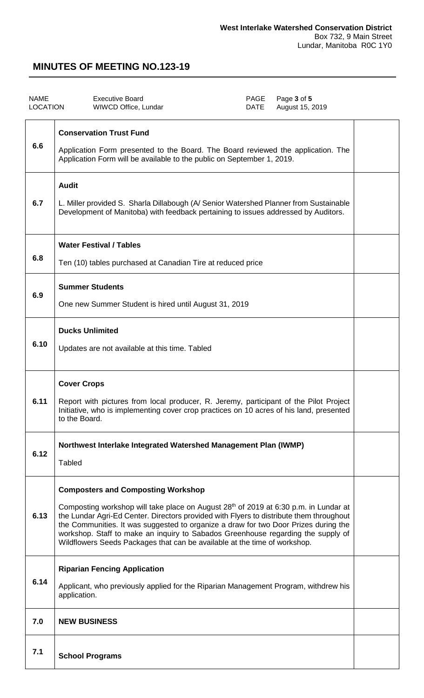| <b>NAME</b><br><b>LOCATION</b> | <b>Executive Board</b><br>WIWCD Office, Lundar                                                                                                                                                                                                                                                                                                                                                                                                                                                   | <b>PAGE</b><br>DATE | Page 3 of 5<br>August 15, 2019 |  |
|--------------------------------|--------------------------------------------------------------------------------------------------------------------------------------------------------------------------------------------------------------------------------------------------------------------------------------------------------------------------------------------------------------------------------------------------------------------------------------------------------------------------------------------------|---------------------|--------------------------------|--|
| 6.6                            | <b>Conservation Trust Fund</b><br>Application Form presented to the Board. The Board reviewed the application. The<br>Application Form will be available to the public on September 1, 2019.                                                                                                                                                                                                                                                                                                     |                     |                                |  |
| 6.7                            | <b>Audit</b><br>L. Miller provided S. Sharla Dillabough (A/ Senior Watershed Planner from Sustainable<br>Development of Manitoba) with feedback pertaining to issues addressed by Auditors.                                                                                                                                                                                                                                                                                                      |                     |                                |  |
| 6.8                            | <b>Water Festival / Tables</b><br>Ten (10) tables purchased at Canadian Tire at reduced price                                                                                                                                                                                                                                                                                                                                                                                                    |                     |                                |  |
| 6.9                            | <b>Summer Students</b><br>One new Summer Student is hired until August 31, 2019                                                                                                                                                                                                                                                                                                                                                                                                                  |                     |                                |  |
| 6.10                           | <b>Ducks Unlimited</b><br>Updates are not available at this time. Tabled                                                                                                                                                                                                                                                                                                                                                                                                                         |                     |                                |  |
| 6.11                           | <b>Cover Crops</b><br>Report with pictures from local producer, R. Jeremy, participant of the Pilot Project<br>Initiative, who is implementing cover crop practices on 10 acres of his land, presented<br>to the Board.                                                                                                                                                                                                                                                                          |                     |                                |  |
| 6.12                           | Northwest Interlake Integrated Watershed Management Plan (IWMP)<br><b>Tabled</b>                                                                                                                                                                                                                                                                                                                                                                                                                 |                     |                                |  |
| 6.13                           | <b>Composters and Composting Workshop</b><br>Composting workshop will take place on August 28 <sup>th</sup> of 2019 at 6:30 p.m. in Lundar at<br>the Lundar Agri-Ed Center. Directors provided with Flyers to distribute them throughout<br>the Communities. It was suggested to organize a draw for two Door Prizes during the<br>workshop. Staff to make an inquiry to Sabados Greenhouse regarding the supply of<br>Wildflowers Seeds Packages that can be available at the time of workshop. |                     |                                |  |
| 6.14                           | <b>Riparian Fencing Application</b><br>Applicant, who previously applied for the Riparian Management Program, withdrew his<br>application.                                                                                                                                                                                                                                                                                                                                                       |                     |                                |  |
| 7.0                            | <b>NEW BUSINESS</b>                                                                                                                                                                                                                                                                                                                                                                                                                                                                              |                     |                                |  |
| 7.1                            | <b>School Programs</b>                                                                                                                                                                                                                                                                                                                                                                                                                                                                           |                     |                                |  |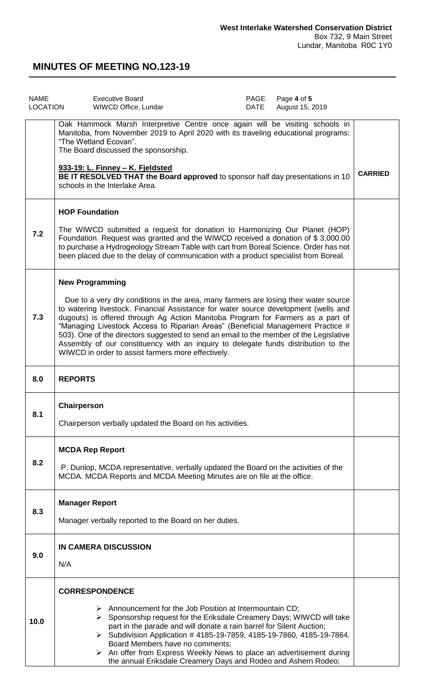| <b>NAME</b><br>LOCATION | Page 4 of 5<br><b>Executive Board</b><br>PAGE<br>August 15, 2019<br>WIWCD Office, Lundar<br>DATE                                                                                                                                                                                                                                                                                                                                                                                                                                                                                                                  |                |
|-------------------------|-------------------------------------------------------------------------------------------------------------------------------------------------------------------------------------------------------------------------------------------------------------------------------------------------------------------------------------------------------------------------------------------------------------------------------------------------------------------------------------------------------------------------------------------------------------------------------------------------------------------|----------------|
|                         | Oak Hammock Marsh Interpretive Centre once again will be visiting schools in<br>Manitoba, from November 2019 to April 2020 with its traveling educational programs:<br>"The Wetland Ecovan".<br>The Board discussed the sponsorship.<br>933-19: L. Finney - K. Fjeldsted<br>BE IT RESOLVED THAT the Board approved to sponsor half day presentations in 10<br>schools in the Interlake Area.                                                                                                                                                                                                                      | <b>CARRIED</b> |
| 7.2                     | <b>HOP Foundation</b><br>The WIWCD submitted a request for donation to Harmonizing Our Planet (HOP)<br>Foundation. Request was granted and the WIWCD received a donation of \$3,000.00<br>to purchase a Hydrogeology Stream Table with cart from Boreal Science. Order has not<br>been placed due to the delay of communication with a product specialist from Boreal.                                                                                                                                                                                                                                            |                |
| 7.3                     | <b>New Programming</b><br>Due to a very dry conditions in the area, many farmers are losing their water source<br>to watering livestock. Financial Assistance for water source development (wells and<br>dugouts) is offered through Ag Action Manitoba Program for Farmers as a part of<br>"Managing Livestock Access to Riparian Areas" (Beneficial Management Practice #<br>503). One of the directors suggested to send an email to the member of the Legislative<br>Assembly of our constituency with an inquiry to delegate funds distribution to the<br>WIWCD in order to assist farmers more effectively. |                |
| 8.0                     | <b>REPORTS</b>                                                                                                                                                                                                                                                                                                                                                                                                                                                                                                                                                                                                    |                |
| 8.1                     | Chairperson<br>Chairperson verbally updated the Board on his activities.                                                                                                                                                                                                                                                                                                                                                                                                                                                                                                                                          |                |
| 8.2                     | <b>MCDA Rep Report</b><br>P. Dunlop, MCDA representative, verbally updated the Board on the activities of the<br>MCDA. MCDA Reports and MCDA Meeting Minutes are on file at the office.                                                                                                                                                                                                                                                                                                                                                                                                                           |                |
| 8.3                     | <b>Manager Report</b><br>Manager verbally reported to the Board on her duties.                                                                                                                                                                                                                                                                                                                                                                                                                                                                                                                                    |                |
| 9.0                     | <b>IN CAMERA DISCUSSION</b><br>N/A                                                                                                                                                                                                                                                                                                                                                                                                                                                                                                                                                                                |                |
| 10.0                    | <b>CORRESPONDENCE</b><br>$\triangleright$ Announcement for the Job Position at Intermountain CD;<br>$\triangleright$ Sponsorship request for the Eriksdale Creamery Days; WIWCD will take<br>part in the parade and will donate a rain barrel for Silent Auction;<br>> Subdivision Application # 4185-19-7859, 4185-19-7860, 4185-19-7864.<br>Board Members have no comments;<br>$\triangleright$ An offer from Express Weekly News to place an advertisement during<br>the annual Eriksdale Creamery Days and Rodeo and Ashern Rodeo;                                                                            |                |